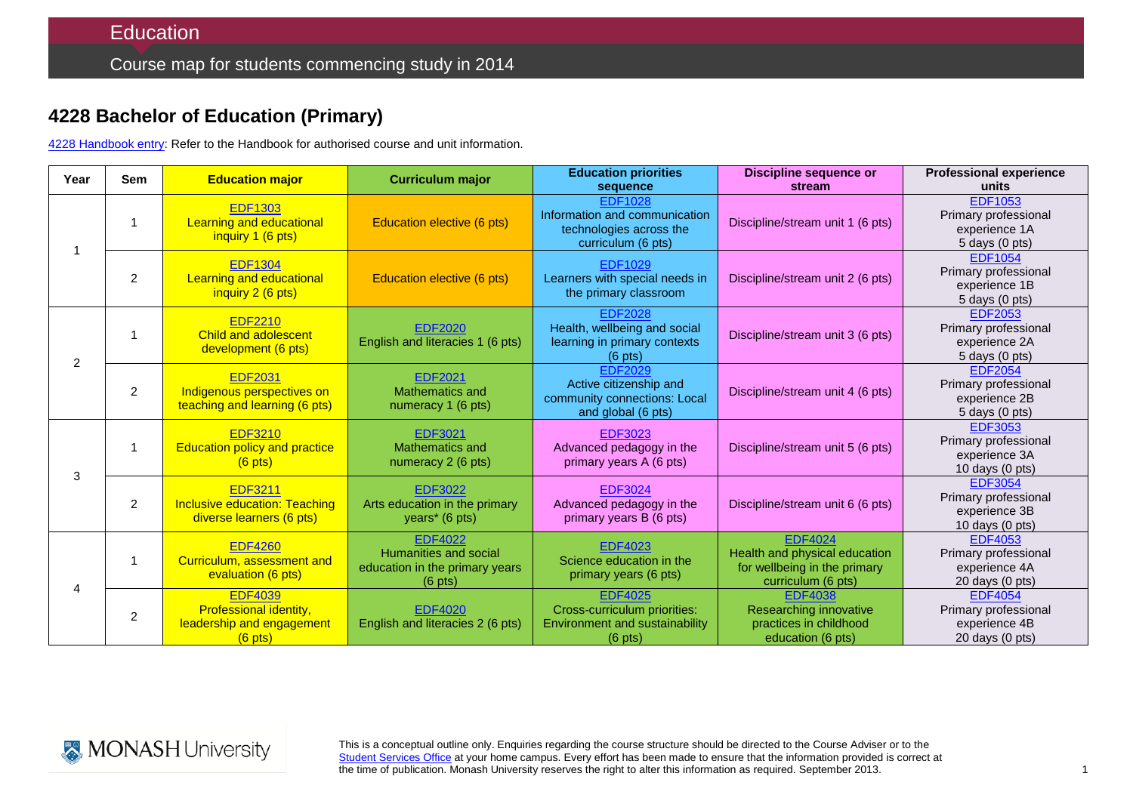## **4228 Bachelor of Education (Primary)**

4228 [Handbook entry:](http://www.monash.edu.au/pubs/2014handbooks/courses/4228.html) Refer to the Handbook for authorised course and unit information.

| Year           | <b>Sem</b>     | <b>Education major</b>                                                             | <b>Curriculum major</b>                                                                        | <b>Education priorities</b><br>sequence                                                               | <b>Discipline sequence or</b><br>stream                                                               | <b>Professional experience</b><br>units                                              |
|----------------|----------------|------------------------------------------------------------------------------------|------------------------------------------------------------------------------------------------|-------------------------------------------------------------------------------------------------------|-------------------------------------------------------------------------------------------------------|--------------------------------------------------------------------------------------|
|                | 1              | <b>EDF1303</b><br><b>Learning and educational</b><br>inquiry 1 (6 pts)             | Education elective (6 pts)                                                                     | <b>EDF1028</b><br>Information and communication<br>technologies across the<br>curriculum (6 pts)      | Discipline/stream unit 1 (6 pts)                                                                      | <b>EDF1053</b><br>Primary professional<br>experience 1A<br>5 days (0 pts)            |
|                | 2              | <b>EDF1304</b><br><b>Learning and educational</b><br>inquiry 2 (6 pts)             | Education elective (6 pts)                                                                     | <b>EDF1029</b><br>Learners with special needs in<br>the primary classroom                             | Discipline/stream unit 2 (6 pts)                                                                      | <b>EDF1054</b><br>Primary professional<br>experience 1B<br>$5$ days $(0$ pts)        |
| $\overline{2}$ | 1              | <b>EDF2210</b><br><b>Child and adolescent</b><br>development (6 pts)               | <b>EDF2020</b><br>English and literacies 1 (6 pts)                                             | <b>EDF2028</b><br>Health, wellbeing and social<br>learning in primary contexts<br>$(6 \text{ pts})$   | Discipline/stream unit 3 (6 pts)                                                                      | <b>EDF2053</b><br>Primary professional<br>experience 2A<br>$5$ days $(0$ pts)        |
|                | 2              | <b>EDF2031</b><br>Indigenous perspectives on<br>teaching and learning (6 pts)      | <b>EDF2021</b><br>Mathematics and<br>numeracy 1 (6 pts)                                        | <b>EDF2029</b><br>Active citizenship and<br>community connections: Local<br>and global (6 pts)        | Discipline/stream unit 4 (6 pts)                                                                      | <b>EDF2054</b><br>Primary professional<br>experience 2B<br>5 days (0 pts)            |
| 3              | $\overline{1}$ | <b>EDF3210</b><br><b>Education policy and practice</b><br>$(6$ pts)                | EDF3021<br>Mathematics and<br>numeracy 2 (6 pts)                                               | <b>EDF3023</b><br>Advanced pedagogy in the<br>primary years A (6 pts)                                 | Discipline/stream unit 5 (6 pts)                                                                      | <b>EDF3053</b><br>Primary professional<br>experience 3A<br>10 days (0 pts)           |
|                | $\overline{2}$ | <b>EDF3211</b><br><b>Inclusive education: Teaching</b><br>diverse learners (6 pts) | <b>EDF3022</b><br>Arts education in the primary<br>years <sup>*</sup> (6 pts)                  | <b>EDF3024</b><br>Advanced pedagogy in the<br>primary years B (6 pts)                                 | Discipline/stream unit 6 (6 pts)                                                                      | <b>EDF3054</b><br>Primary professional<br>experience 3B<br>10 days $(0 \text{ pts})$ |
| $\overline{4}$ | 1              | <b>EDF4260</b><br>Curriculum, assessment and<br>evaluation (6 pts)                 | <b>EDF4022</b><br>Humanities and social<br>education in the primary years<br>$(6 \text{ pts})$ | <b>EDF4023</b><br>Science education in the<br>primary years (6 pts)                                   | <b>EDF4024</b><br>Health and physical education<br>for wellbeing in the primary<br>curriculum (6 pts) | <b>EDF4053</b><br>Primary professional<br>experience 4A<br>20 days (0 pts)           |
|                | $\overline{c}$ | <b>EDF4039</b><br>Professional identity,<br>leadership and engagement<br>$(6$ pts) | <b>EDF4020</b><br>English and literacies 2 (6 pts)                                             | <b>EDF4025</b><br>Cross-curriculum priorities:<br>Environment and sustainability<br>$(6 \text{ pts})$ | <b>EDF4038</b><br>Researching innovative<br>practices in childhood<br>education (6 pts)               | <b>EDF4054</b><br>Primary professional<br>experience 4B<br>$20$ days $(0$ pts)       |



This is a conceptual outline only. Enquiries regarding the course structure should be directed to the Course Adviser or to the [Student Services Office](http://education.monash.edu.au/students/current/admin/student-services-offices.html) at your home campus. Every effort has been made to ensure that the information provided is correct at the time of publication. Monash University reserves the right to alter this information as required. September 2013.